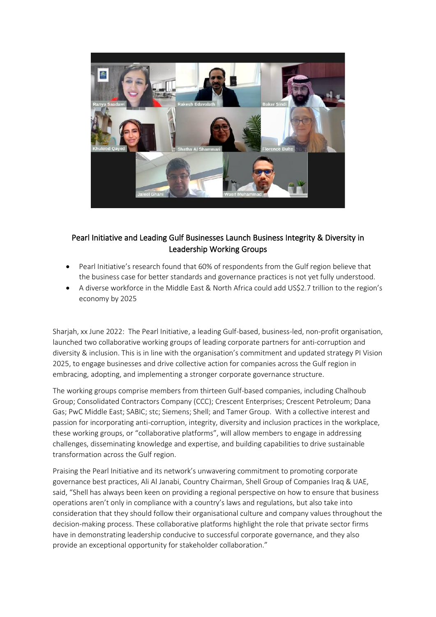

## Pearl Initiative and Leading Gulf Businesses Launch Business Integrity & Diversity in Leadership Working Groups

- Pearl Initiative's research found that 60% of respondents from the Gulf region believe that the business case for better standards and governance practices is not yet fully understood.
- A diverse workforce in the Middle East & North Africa could add US\$2.7 trillion to the region's economy by 2025

Sharjah, xx June 2022: The Pearl Initiative, a leading Gulf-based, business-led, non-profit organisation, launched two collaborative working groups of leading corporate partners for anti-corruption and diversity & inclusion. This is in line with the organisation's commitment and updated strategy PI Vision 2025, to engage businesses and drive collective action for companies across the Gulf region in embracing, adopting, and implementing a stronger corporate governance structure.

The working groups comprise members from thirteen Gulf-based companies, including Chalhoub Group; Consolidated Contractors Company (CCC); Crescent Enterprises; Crescent Petroleum; Dana Gas; PwC Middle East; SABIC; stc; Siemens; Shell; and Tamer Group. With a collective interest and passion for incorporating anti-corruption, integrity, diversity and inclusion practices in the workplace, these working groups, or "collaborative platforms", will allow members to engage in addressing challenges, disseminating knowledge and expertise, and building capabilities to drive sustainable transformation across the Gulf region.

Praising the Pearl Initiative and its network's unwavering commitment to promoting corporate governance best practices, Ali Al Janabi, Country Chairman, Shell Group of Companies Iraq & UAE, said, "Shell has always been keen on providing a regional perspective on how to ensure that business operations aren't only in compliance with a country's laws and regulations, but also take into consideration that they should follow their organisational culture and company values throughout the decision-making process. These collaborative platforms highlight the role that private sector firms have in demonstrating leadership conducive to successful corporate governance, and they also provide an exceptional opportunity for stakeholder collaboration."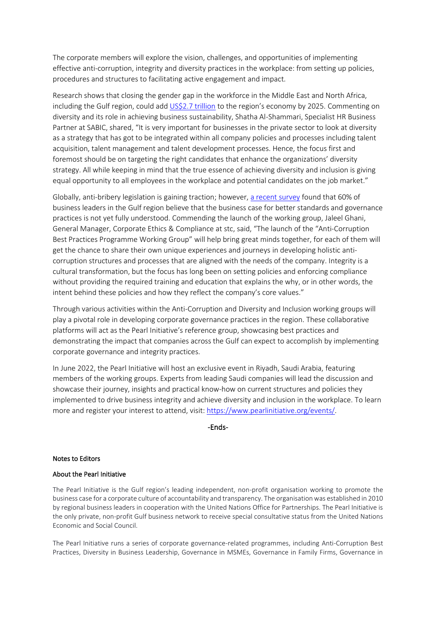The corporate members will explore the vision, challenges, and opportunities of implementing effective anti-corruption, integrity and diversity practices in the workplace: from setting up policies, procedures and structures to facilitating active engagement and impact.

Research shows that closing the gender gap in the workforce in the Middle East and North Africa, including the Gulf region, could add [US\\$2.7 trillion](https://www.ssga.com/library-content/pdfs/insights/gender-diversity-on-boards-in-gcc-countries.pdf) to the region's economy by 2025. Commenting on diversity and its role in achieving business sustainability, Shatha Al-Shammari, Specialist HR Business Partner at SABIC, shared, "It is very important for businesses in the private sector to look at diversity as a strategy that has got to be integrated within all company policies and processes including talent acquisition, talent management and talent development processes. Hence, the focus first and foremost should be on targeting the right candidates that enhance the organizations' diversity strategy. All while keeping in mind that the true essence of achieving diversity and inclusion is giving equal opportunity to all employees in the workplace and potential candidates on the job market."

Globally, anti-bribery legislation is gaining traction; however, [a recent survey](https://www.pearlinitiative.org/wp-content/uploads/2021/11/At-a-Glance-Anti-Corruption-Good-Practice.pdf) found that 60% of business leaders in the Gulf region believe that the business case for better standards and governance practices is not yet fully understood. Commending the launch of the working group, Jaleel Ghani, General Manager, Corporate Ethics & Compliance at stc, said, "The launch of the "Anti-Corruption Best Practices Programme Working Group" will help bring great minds together, for each of them will get the chance to share their own unique experiences and journeys in developing holistic anticorruption structures and processes that are aligned with the needs of the company. Integrity is a cultural transformation, but the focus has long been on setting policies and enforcing compliance without providing the required training and education that explains the why, or in other words, the intent behind these policies and how they reflect the company's core values."

Through various activities within the Anti-Corruption and Diversity and Inclusion working groups will play a pivotal role in developing corporate governance practices in the region. These collaborative platforms will act as the Pearl Initiative's reference group, showcasing best practices and demonstrating the impact that companies across the Gulf can expect to accomplish by implementing corporate governance and integrity practices.

In June 2022, the Pearl Initiative will host an exclusive event in Riyadh, Saudi Arabia, featuring members of the working groups. Experts from leading Saudi companies will lead the discussion and showcase their journey, insights and practical know-how on current structures and policies they implemented to drive business integrity and achieve diversity and inclusion in the workplace. To learn more and register your interest to attend, visit: [https://www.pearlinitiative.org/events/.](https://www.pearlinitiative.org/events/)

-Ends-

## Notes to Editors

## About the Pearl Initiative

The Pearl Initiative is the Gulf region's leading independent, non-profit organisation working to promote the business case for a corporate culture of accountability and transparency. The organisation was established in 2010 by regional business leaders in cooperation with the United Nations Office for Partnerships. The Pearl Initiative is the only private, non-profit Gulf business network to receive special consultative status from the United Nations Economic and Social Council.

The Pearl Initiative runs a series of corporate governance-related programmes, including Anti-Corruption Best Practices, Diversity in Business Leadership, Governance in MSMEs, Governance in Family Firms, Governance in